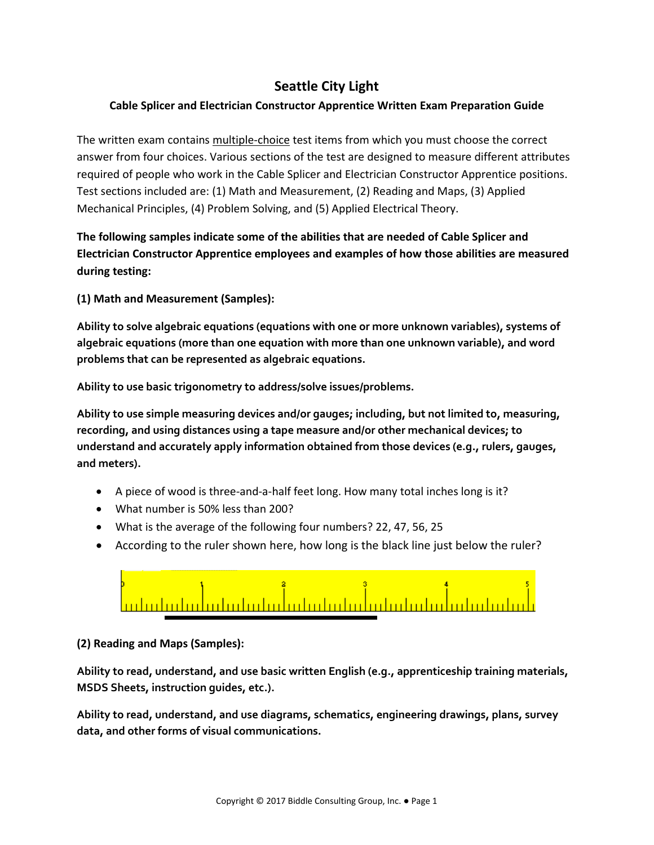# **Seattle City Light**

## **Cable Splicer and Electrician Constructor Apprentice Written Exam Preparation Guide**

The written exam contains multiple-choice test items from which you must choose the correct answer from four choices. Various sections of the test are designed to measure different attributes required of people who work in the Cable Splicer and Electrician Constructor Apprentice positions. Test sections included are: (1) Math and Measurement, (2) Reading and Maps, (3) Applied Mechanical Principles, (4) Problem Solving, and (5) Applied Electrical Theory.

**The following samples indicate some of the abilities that are needed of Cable Splicer and Electrician Constructor Apprentice employees and examples of how those abilities are measured during testing:**

**(1) Math and Measurement (Samples):**

**Ability to solve algebraic equations (equations with one or more unknown variables), systems of algebraic equations (more than one equation with more than one unknown variable), and word problems that can be represented as algebraic equations.**

**Ability to use basic trigonometry to address/solve issues/problems.**

**Ability to use simple measuring devices and/or gauges; including, but not limited to, measuring, recording, and using distances using a tape measure and/or other mechanical devices; to understand and accurately apply information obtained from those devices (e.g., rulers, gauges, and meters).**

- A piece of wood is three-and-a-half feet long. How many total inches long is it?
- What number is 50% less than 200?
- What is the average of the following four numbers? 22, 47, 56, 25
- According to the ruler shown here, how long is the black line just below the ruler?



**(2) Reading and Maps (Samples):**

**Ability to read, understand, and use basic written English (e.g., apprenticeship training materials, MSDS Sheets, instruction guides, etc.).**

**Ability to read, understand, and use diagrams, schematics, engineering drawings, plans, survey data, and other forms of visual communications.**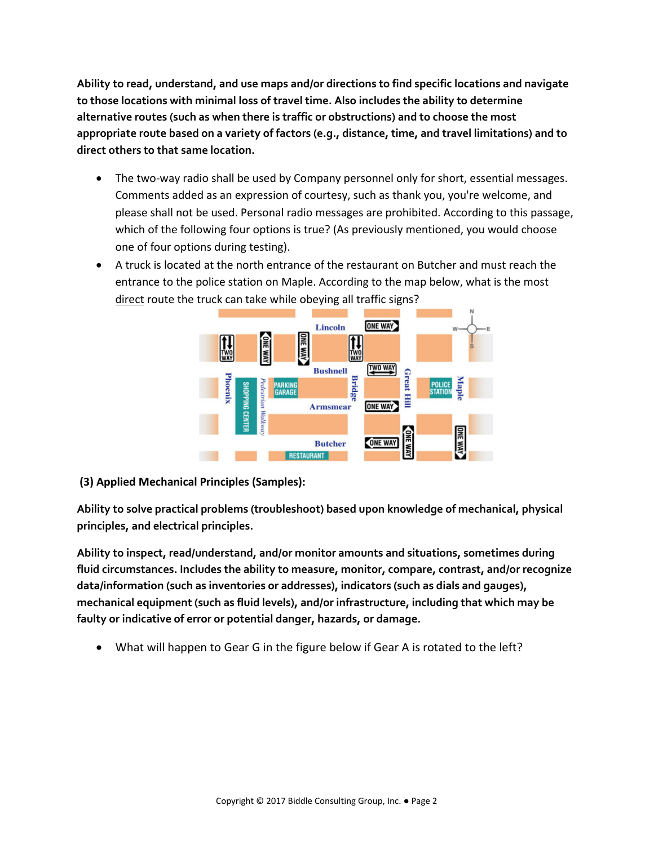**Ability to read, understand, and use maps and/or directions to find specific locations and navigate to those locations with minimal loss of travel time. Also includes the ability to determine alternative routes (such as when there is traffic or obstructions) and to choose the most appropriate route based on a variety of factors (e.g., distance, time, and travel limitations) and to direct others to that same location.**

- The two-way radio shall be used by Company personnel only for short, essential messages. Comments added as an expression of courtesy, such as thank you, you're welcome, and please shall not be used. Personal radio messages are prohibited. According to this passage, which of the following four options is true? (As previously mentioned, you would choose one of four options during testing).
- A truck is located at the north entrance of the restaurant on Butcher and must reach the entrance to the police station on Maple. According to the map below, what is the most direct route the truck can take while obeying all traffic signs?



**(3) Applied Mechanical Principles (Samples):**

**Ability to solve practical problems (troubleshoot) based upon knowledge of mechanical, physical principles, and electrical principles.**

**Ability to inspect, read/understand, and/or monitor amounts and situations, sometimes during fluid circumstances. Includes the ability to measure, monitor, compare, contrast, and/or recognize data/information (such as inventories or addresses), indicators (such as dials and gauges), mechanical equipment (such as fluid levels), and/or infrastructure, including that which may be faulty or indicative of error or potential danger, hazards, or damage.** 

• What will happen to Gear G in the figure below if Gear A is rotated to the left?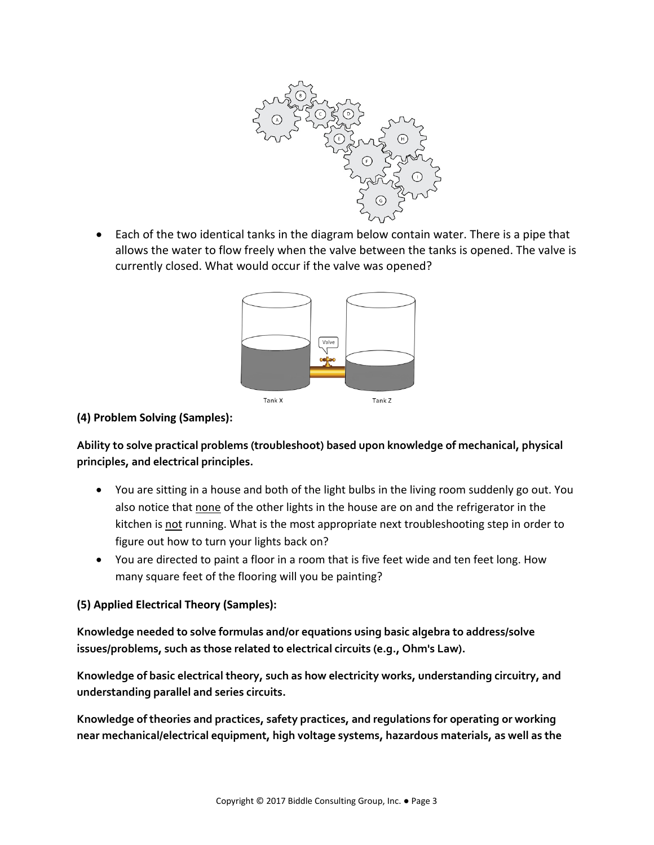

• Each of the two identical tanks in the diagram below contain water. There is a pipe that allows the water to flow freely when the valve between the tanks is opened. The valve is currently closed. What would occur if the valve was opened?



### **(4) Problem Solving (Samples):**

**Ability to solve practical problems (troubleshoot) based upon knowledge of mechanical, physical principles, and electrical principles.**

- You are sitting in a house and both of the light bulbs in the living room suddenly go out. You also notice that none of the other lights in the house are on and the refrigerator in the kitchen is not running. What is the most appropriate next troubleshooting step in order to figure out how to turn your lights back on?
- You are directed to paint a floor in a room that is five feet wide and ten feet long. How many square feet of the flooring will you be painting?

#### **(5) Applied Electrical Theory (Samples):**

**Knowledge needed to solve formulas and/or equations using basic algebra to address/solve issues/problems, such as those related to electrical circuits (e.g., Ohm's Law).**

**Knowledge of basic electrical theory, such as how electricity works, understanding circuitry, and understanding parallel and series circuits.**

**Knowledge of theories and practices, safety practices, and regulations for operating or working near mechanical/electrical equipment, high voltage systems, hazardous materials, as well as the**